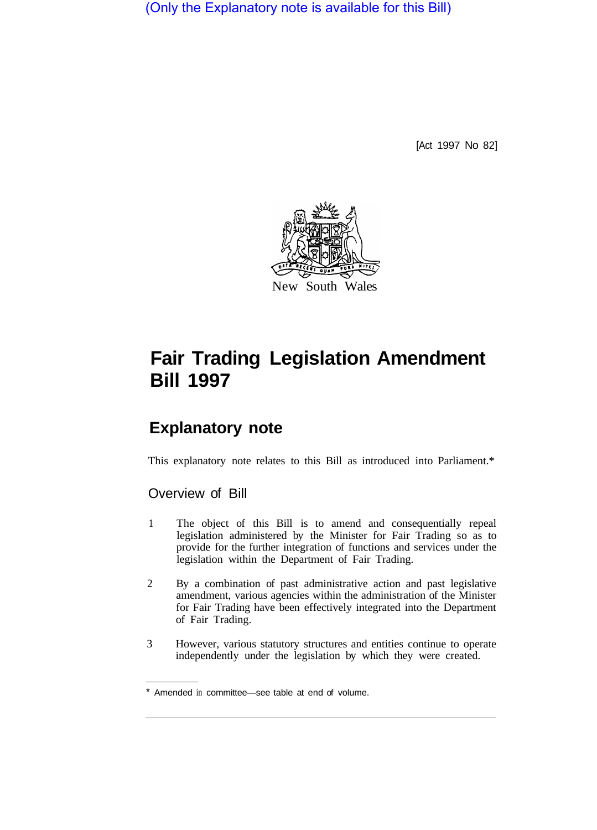(Only the Explanatory note is available for this Bill)

[Act 1997 No 82]



# **Fair Trading Legislation Amendment Bill 1997**

# **Explanatory note**

This explanatory note relates to this Bill as introduced into Parliament.\*

## Overview of Bill

- 1 The object of this Bill is to amend and consequentially repeal legislation administered by the Minister for Fair Trading so as to provide for the further integration of functions and services under the legislation within the Department of Fair Trading.
- 2 By a combination of past administrative action and past legislative amendment, various agencies within the administration of the Minister for Fair Trading have been effectively integrated into the Department of Fair Trading.
- 3 However, various statutory structures and entities continue to operate independently under the legislation by which they were created.

Amended in committee—see table at end of volume.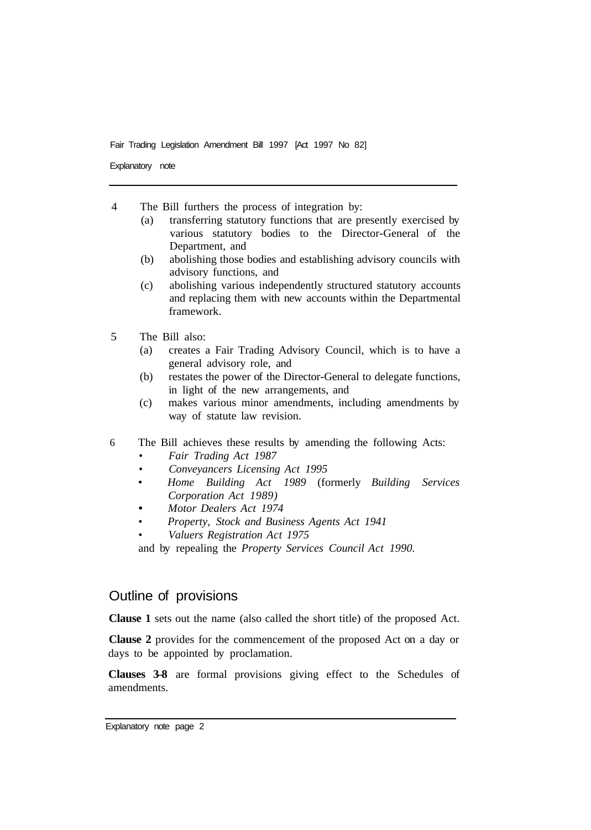Explanatory note

4 The Bill furthers the process of integration by:

- (a) transferring statutory functions that are presently exercised by various statutory bodies to the Director-General of the Department, and
- (b) abolishing those bodies and establishing advisory councils with advisory functions, and
- (c) abolishing various independently structured statutory accounts and replacing them with new accounts within the Departmental framework.
- 5 The Bill also:
	- (a) creates a Fair Trading Advisory Council, which is to have a general advisory role, and
	- (b) restates the power of the Director-General to delegate functions, in light of the new arrangements, and
	- (c) makes various minor amendments, including amendments by way of statute law revision.
- 6 The Bill achieves these results by amending the following Acts:
	- *Fair Trading Act 1987*
	- *Conveyancers Licensing Act 1995*
	- *Home Building Act 1989* (formerly *Building Services Corporation Act 1989)*
	- *Motor Dealers Act 1974*
	- *Property, Stock and Business Agents Act 1941*
	- *Valuers Registration Act 1975*

and by repealing the *Property Services Council Act 1990.* 

### Outline of provisions

**Clause 1** sets out the name (also called the short title) of the proposed Act.

**Clause 2** provides for the commencement of the proposed Act on a day or days to be appointed by proclamation.

**Clauses 3–8** are formal provisions giving effect to the Schedules of amendments.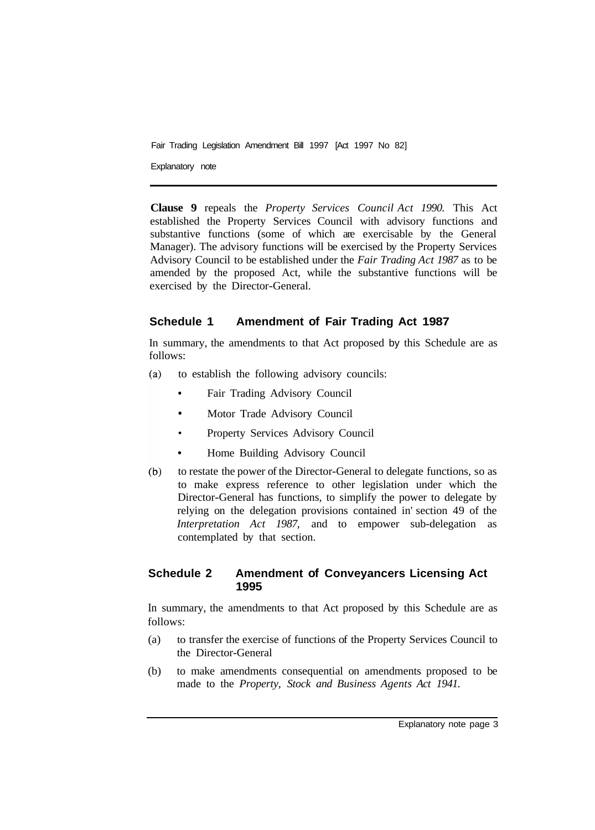Explanatory note

**Clause 9** repeals the *Property Services Council Act 1990.* This Act established the Property Services Council with advisory functions and substantive functions (some of which are exercisable by the General Manager). The advisory functions will be exercised by the Property Services Advisory Council to be established under the *Fair Trading Act 1987* as to be amended by the proposed Act, while the substantive functions will be exercised by the Director-General.

#### **Schedule 1 Amendment of Fair Trading Act 1987**

In summary, the amendments to that Act proposed by this Schedule are as follows:

- to establish the following advisory councils:  $(a)$ 
	- Fair Trading Advisory Council
	- Motor Trade Advisory Council  $\bullet$
	- Property Services Advisory Council
	- Home Building Advisory Council
- $(b)$ to restate the power of the Director-General to delegate functions, so as to make express reference to other legislation under which the Director-General has functions, to simplify the power to delegate by relying on the delegation provisions contained in' section 49 of the *Interpretation Act 1987,* and to empower sub-delegation as contemplated by that section.

#### **Schedule 2 Amendment of Conveyancers Licensing Act 1995**

In summary, the amendments to that Act proposed by this Schedule are as follows:

- (a) to transfer the exercise of functions of the Property Services Council to the Director-General
- (b) to make amendments consequential on amendments proposed to be made to the *Property, Stock and Business Agents Act 1941.*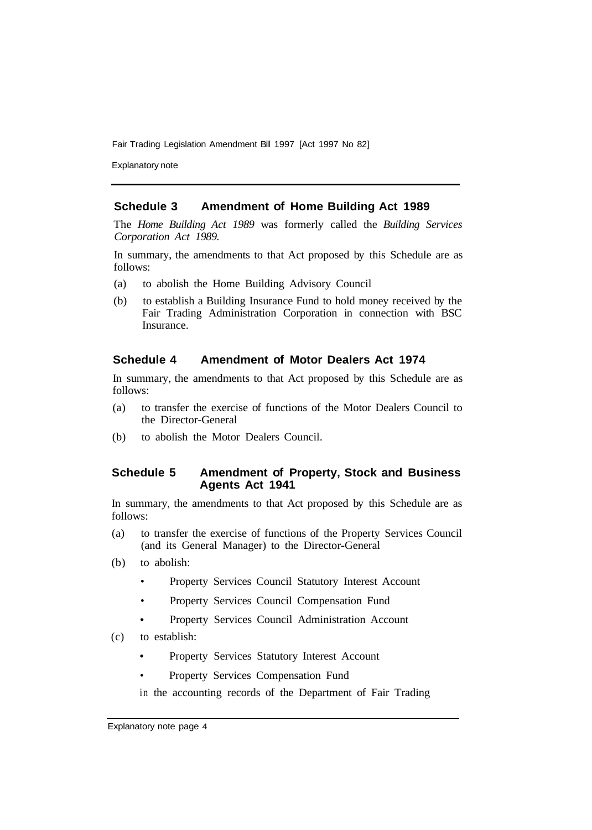Explanatory note

#### **Schedule 3 Amendment of Home Building Act 1989**

The *Home Building Act 1989* was formerly called the *Building Services Corporation Act 1989.* 

In summary, the amendments to that Act proposed by this Schedule are as follows:

- (a) to abolish the Home Building Advisory Council
- (b) to establish a Building Insurance Fund to hold money received by the Fair Trading Administration Corporation in connection with BSC Insurance.

#### **Schedule 4 Amendment of Motor Dealers Act 1974**

In summary, the amendments to that Act proposed by this Schedule are as follows:

- (a) to transfer the exercise of functions of the Motor Dealers Council to the Director-General
- (b) to abolish the Motor Dealers Council.

#### **Schedule 5 Amendment of Property, Stock and Business Agents Act 1941**

In summary, the amendments to that Act proposed by this Schedule are as follows:

- (a) to transfer the exercise of functions of the Property Services Council (and its General Manager) to the Director-General
- (b) to abolish:
	- Property Services Council Statutory Interest Account
	- Property Services Council Compensation Fund
	- Property Services Council Administration Account
- (c) to establish:
	- Property Services Statutory Interest Account
	- Property Services Compensation Fund

in the accounting records of the Department of Fair Trading